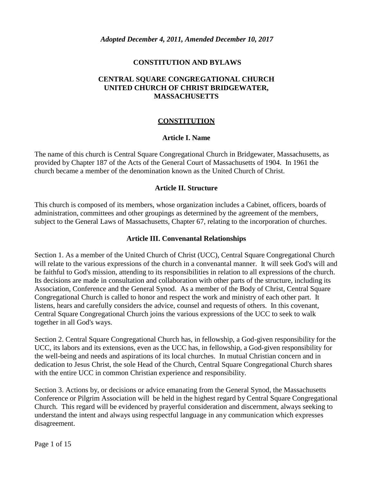#### **CONSTITUTION AND BYLAWS**

#### **CENTRAL SQUARE CONGREGATIONAL CHURCH UNITED CHURCH OF CHRIST BRIDGEWATER, MASSACHUSETTS**

#### **CONSTITUTION**

#### **Article I. Name**

The name of this church is Central Square Congregational Church in Bridgewater, Massachusetts, as provided by Chapter 187 of the Acts of the General Court of Massachusetts of 1904. In 1961 the church became a member of the denomination known as the United Church of Christ.

#### **Article II. Structure**

This church is composed of its members, whose organization includes a Cabinet, officers, boards of administration, committees and other groupings as determined by the agreement of the members, subject to the General Laws of Massachusetts, Chapter 67, relating to the incorporation of churches.

#### **Article III. Convenantal Relationships**

Section 1. As a member of the United Church of Christ (UCC), Central Square Congregational Church will relate to the various expressions of the church in a convenantal manner. It will seek God's will and be faithful to God's mission, attending to its responsibilities in relation to all expressions of the church. Its decisions are made in consultation and collaboration with other parts of the structure, including its Association, Conference and the General Synod. As a member of the Body of Christ, Central Square Congregational Church is called to honor and respect the work and ministry of each other part. It listens, hears and carefully considers the advice, counsel and requests of others. In this covenant, Central Square Congregational Church joins the various expressions of the UCC to seek to walk together in all God's ways.

Section 2. Central Square Congregational Church has, in fellowship, a God-given responsibility for the UCC, its labors and its extensions, even as the UCC has, in fellowship, a God-given responsibility for the well-being and needs and aspirations of its local churches. In mutual Christian concern and in dedication to Jesus Christ, the sole Head of the Church, Central Square Congregational Church shares with the entire UCC in common Christian experience and responsibility.

Section 3. Actions by, or decisions or advice emanating from the General Synod, the Massachusetts Conference or Pilgrim Association will be held in the highest regard by Central Square Congregational Church. This regard will be evidenced by prayerful consideration and discernment, always seeking to understand the intent and always using respectful language in any communication which expresses disagreement.

Page 1 of 15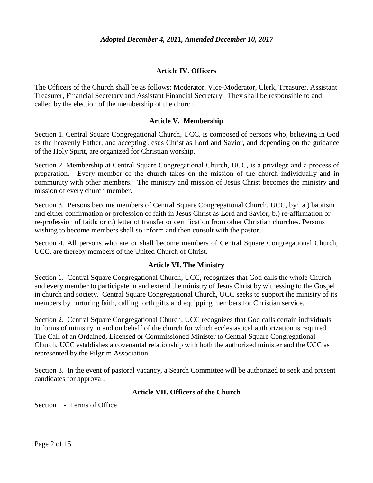#### **Article IV. Officers**

The Officers of the Church shall be as follows: Moderator, Vice-Moderator, Clerk, Treasurer, Assistant Treasurer, Financial Secretary and Assistant Financial Secretary. They shall be responsible to and called by the election of the membership of the church.

#### **Article V. Membership**

Section 1. Central Square Congregational Church, UCC, is composed of persons who, believing in God as the heavenly Father, and accepting Jesus Christ as Lord and Savior, and depending on the guidance of the Holy Spirit, are organized for Christian worship.

Section 2. Membership at Central Square Congregational Church, UCC, is a privilege and a process of preparation. Every member of the church takes on the mission of the church individually and in community with other members. The ministry and mission of Jesus Christ becomes the ministry and mission of every church member.

Section 3. Persons become members of Central Square Congregational Church, UCC, by: a.) baptism and either confirmation or profession of faith in Jesus Christ as Lord and Savior; b.) re-affirmation or re-profession of faith; or c.) letter of transfer or certification from other Christian churches. Persons wishing to become members shall so inform and then consult with the pastor.

Section 4. All persons who are or shall become members of Central Square Congregational Church, UCC, are thereby members of the United Church of Christ.

#### **Article VI. The Ministry**

Section 1. Central Square Congregational Church, UCC, recognizes that God calls the whole Church and every member to participate in and extend the ministry of Jesus Christ by witnessing to the Gospel in church and society. Central Square Congregational Church, UCC seeks to support the ministry of its members by nurturing faith, calling forth gifts and equipping members for Christian service.

Section 2. Central Square Congregational Church, UCC recognizes that God calls certain individuals to forms of ministry in and on behalf of the church for which ecclesiastical authorization is required. The Call of an Ordained, Licensed or Commissioned Minister to Central Square Congregational Church, UCC establishes a covenantal relationship with both the authorized minister and the UCC as represented by the Pilgrim Association.

Section 3. In the event of pastoral vacancy, a Search Committee will be authorized to seek and present candidates for approval.

#### **Article VII. Officers of the Church**

Section 1 - Terms of Office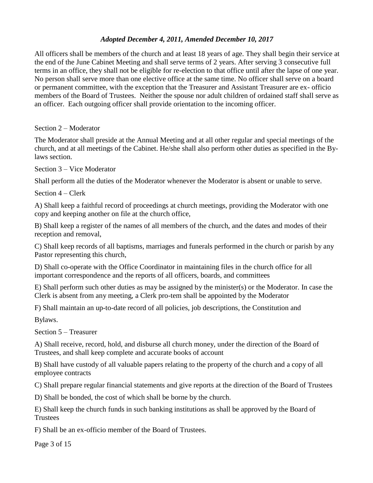All officers shall be members of the church and at least 18 years of age. They shall begin their service at the end of the June Cabinet Meeting and shall serve terms of 2 years. After serving 3 consecutive full terms in an office, they shall not be eligible for re-election to that office until after the lapse of one year. No person shall serve more than one elective office at the same time. No officer shall serve on a board or permanent committee, with the exception that the Treasurer and Assistant Treasurer are ex- officio members of the Board of Trustees. Neither the spouse nor adult children of ordained staff shall serve as an officer. Each outgoing officer shall provide orientation to the incoming officer.

Section 2 – Moderator

The Moderator shall preside at the Annual Meeting and at all other regular and special meetings of the church, and at all meetings of the Cabinet. He/she shall also perform other duties as specified in the Bylaws section.

Section 3 – Vice Moderator

Shall perform all the duties of the Moderator whenever the Moderator is absent or unable to serve.

Section 4 – Clerk

A) Shall keep a faithful record of proceedings at church meetings, providing the Moderator with one copy and keeping another on file at the church office,

B) Shall keep a register of the names of all members of the church, and the dates and modes of their reception and removal,

C) Shall keep records of all baptisms, marriages and funerals performed in the church or parish by any Pastor representing this church,

D) Shall co-operate with the Office Coordinator in maintaining files in the church office for all important correspondence and the reports of all officers, boards, and committees

E) Shall perform such other duties as may be assigned by the minister(s) or the Moderator. In case the Clerk is absent from any meeting, a Clerk pro-tem shall be appointed by the Moderator

F) Shall maintain an up-to-date record of all policies, job descriptions, the Constitution and

Bylaws.

Section 5 – Treasurer

A) Shall receive, record, hold, and disburse all church money, under the direction of the Board of Trustees, and shall keep complete and accurate books of account

B) Shall have custody of all valuable papers relating to the property of the church and a copy of all employee contracts

C) Shall prepare regular financial statements and give reports at the direction of the Board of Trustees

D) Shall be bonded, the cost of which shall be borne by the church.

E) Shall keep the church funds in such banking institutions as shall be approved by the Board of **Trustees** 

F) Shall be an ex-officio member of the Board of Trustees.

Page 3 of 15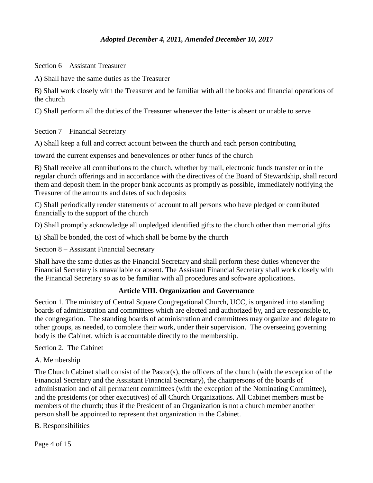Section 6 – Assistant Treasurer

A) Shall have the same duties as the Treasurer

B) Shall work closely with the Treasurer and be familiar with all the books and financial operations of the church

C) Shall perform all the duties of the Treasurer whenever the latter is absent or unable to serve

Section 7 – Financial Secretary

A) Shall keep a full and correct account between the church and each person contributing

toward the current expenses and benevolences or other funds of the church

B) Shall receive all contributions to the church, whether by mail, electronic funds transfer or in the regular church offerings and in accordance with the directives of the Board of Stewardship, shall record them and deposit them in the proper bank accounts as promptly as possible, immediately notifying the Treasurer of the amounts and dates of such deposits

C) Shall periodically render statements of account to all persons who have pledged or contributed financially to the support of the church

D) Shall promptly acknowledge all unpledged identified gifts to the church other than memorial gifts

E) Shall be bonded, the cost of which shall be borne by the church

Section 8 – Assistant Financial Secretary

Shall have the same duties as the Financial Secretary and shall perform these duties whenever the Financial Secretary is unavailable or absent. The Assistant Financial Secretary shall work closely with the Financial Secretary so as to be familiar with all procedures and software applications.

## **Article VIII. Organization and Governance**

Section 1. The ministry of Central Square Congregational Church, UCC, is organized into standing boards of administration and committees which are elected and authorized by, and are responsible to, the congregation. The standing boards of administration and committees may organize and delegate to other groups, as needed, to complete their work, under their supervision. The overseeing governing body is the Cabinet, which is accountable directly to the membership.

Section 2. The Cabinet

A. Membership

The Church Cabinet shall consist of the Pastor(s), the officers of the church (with the exception of the Financial Secretary and the Assistant Financial Secretary), the chairpersons of the boards of administration and of all permanent committees (with the exception of the Nominating Committee), and the presidents (or other executives) of all Church Organizations. All Cabinet members must be members of the church; thus if the President of an Organization is not a church member another person shall be appointed to represent that organization in the Cabinet.

B. Responsibilities

Page 4 of 15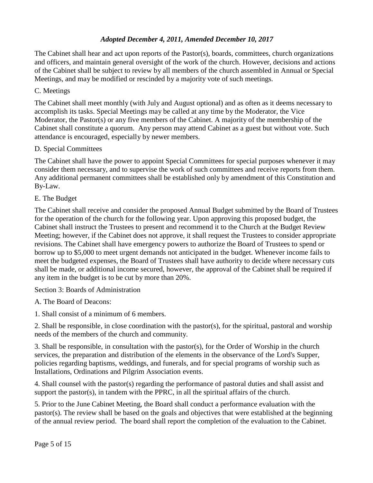The Cabinet shall hear and act upon reports of the Pastor(s), boards, committees, church organizations and officers, and maintain general oversight of the work of the church. However, decisions and actions of the Cabinet shall be subject to review by all members of the church assembled in Annual or Special Meetings, and may be modified or rescinded by a majority vote of such meetings.

## C. Meetings

The Cabinet shall meet monthly (with July and August optional) and as often as it deems necessary to accomplish its tasks. Special Meetings may be called at any time by the Moderator, the Vice Moderator, the Pastor(s) or any five members of the Cabinet. A majority of the membership of the Cabinet shall constitute a quorum. Any person may attend Cabinet as a guest but without vote. Such attendance is encouraged, especially by newer members.

## D. Special Committees

The Cabinet shall have the power to appoint Special Committees for special purposes whenever it may consider them necessary, and to supervise the work of such committees and receive reports from them. Any additional permanent committees shall be established only by amendment of this Constitution and By-Law.

## E. The Budget

The Cabinet shall receive and consider the proposed Annual Budget submitted by the Board of Trustees for the operation of the church for the following year. Upon approving this proposed budget, the Cabinet shall instruct the Trustees to present and recommend it to the Church at the Budget Review Meeting; however, if the Cabinet does not approve, it shall request the Trustees to consider appropriate revisions. The Cabinet shall have emergency powers to authorize the Board of Trustees to spend or borrow up to \$5,000 to meet urgent demands not anticipated in the budget. Whenever income fails to meet the budgeted expenses, the Board of Trustees shall have authority to decide where necessary cuts shall be made, or additional income secured, however, the approval of the Cabinet shall be required if any item in the budget is to be cut by more than 20%.

Section 3: Boards of Administration

A. The Board of Deacons:

1. Shall consist of a minimum of 6 members.

2. Shall be responsible, in close coordination with the pastor(s), for the spiritual, pastoral and worship needs of the members of the church and community.

3. Shall be responsible, in consultation with the pastor(s), for the Order of Worship in the church services, the preparation and distribution of the elements in the observance of the Lord's Supper, policies regarding baptisms, weddings, and funerals, and for special programs of worship such as Installations, Ordinations and Pilgrim Association events.

4. Shall counsel with the pastor(s) regarding the performance of pastoral duties and shall assist and support the pastor(s), in tandem with the PPRC, in all the spiritual affairs of the church.

5. Prior to the June Cabinet Meeting, the Board shall conduct a performance evaluation with the pastor(s). The review shall be based on the goals and objectives that were established at the beginning of the annual review period. The board shall report the completion of the evaluation to the Cabinet.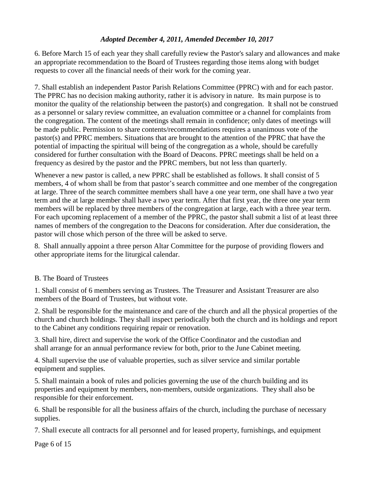6. Before March 15 of each year they shall carefully review the Pastor's salary and allowances and make an appropriate recommendation to the Board of Trustees regarding those items along with budget requests to cover all the financial needs of their work for the coming year.

7. Shall establish an independent Pastor Parish Relations Committee (PPRC) with and for each pastor. The PPRC has no decision making authority, rather it is advisory in nature. Its main purpose is to monitor the quality of the relationship between the pastor(s) and congregation. It shall not be construed as a personnel or salary review committee, an evaluation committee or a channel for complaints from the congregation. The content of the meetings shall remain in confidence; only dates of meetings will be made public. Permission to share contents/recommendations requires a unanimous vote of the pastor(s) and PPRC members. Situations that are brought to the attention of the PPRC that have the potential of impacting the spiritual will being of the congregation as a whole, should be carefully considered for further consultation with the Board of Deacons. PPRC meetings shall be held on a frequency as desired by the pastor and the PPRC members, but not less than quarterly.

Whenever a new pastor is called, a new PPRC shall be established as follows. It shall consist of 5 members, 4 of whom shall be from that pastor's search committee and one member of the congregation at large. Three of the search committee members shall have a one year term, one shall have a two year term and the at large member shall have a two year term. After that first year, the three one year term members will be replaced by three members of the congregation at large, each with a three year term. For each upcoming replacement of a member of the PPRC, the pastor shall submit a list of at least three names of members of the congregation to the Deacons for consideration. After due consideration, the pastor will chose which person of the three will be asked to serve.

8. Shall annually appoint a three person Altar Committee for the purpose of providing flowers and other appropriate items for the liturgical calendar.

# B. The Board of Trustees

1. Shall consist of 6 members serving as Trustees. The Treasurer and Assistant Treasurer are also members of the Board of Trustees, but without vote.

2. Shall be responsible for the maintenance and care of the church and all the physical properties of the church and church holdings. They shall inspect periodically both the church and its holdings and report to the Cabinet any conditions requiring repair or renovation.

3. Shall hire, direct and supervise the work of the Office Coordinator and the custodian and shall arrange for an annual performance review for both, prior to the June Cabinet meeting.

4. Shall supervise the use of valuable properties, such as silver service and similar portable equipment and supplies.

5. Shall maintain a book of rules and policies governing the use of the church building and its properties and equipment by members, non-members, outside organizations. They shall also be responsible for their enforcement.

6. Shall be responsible for all the business affairs of the church, including the purchase of necessary supplies.

7. Shall execute all contracts for all personnel and for leased property, furnishings, and equipment

Page 6 of 15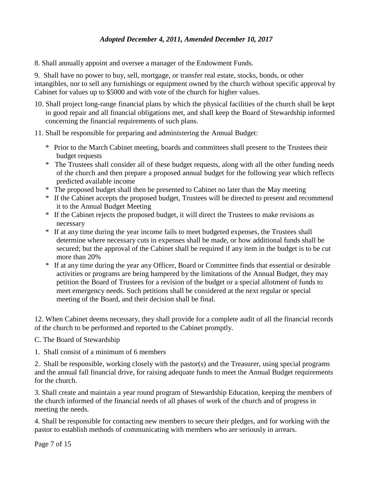8. Shall annually appoint and oversee a manager of the Endowment Funds.

9. Shall have no power to buy, sell, mortgage, or transfer real estate, stocks, bonds, or other intangibles, nor to sell any furnishings or equipment owned by the church without specific approval by Cabinet for values up to \$5000 and with vote of the church for higher values.

- 10. Shall project long-range financial plans by which the physical facilities of the church shall be kept in good repair and all financial obligations met, and shall keep the Board of Stewardship informed concerning the financial requirements of such plans.
- 11. Shall be responsible for preparing and administering the Annual Budget:
	- \* Prior to the March Cabinet meeting, boards and committees shall present to the Trustees their budget requests
	- \* The Trustees shall consider all of these budget requests, along with all the other funding needs of the church and then prepare a proposed annual budget for the following year which reflects predicted available income
	- \* The proposed budget shall then be presented to Cabinet no later than the May meeting
	- \* If the Cabinet accepts the proposed budget, Trustees will be directed to present and recommend it to the Annual Budget Meeting
	- \* If the Cabinet rejects the proposed budget, it will direct the Trustees to make revisions as necessary
	- \* If at any time during the year income fails to meet budgeted expenses, the Trustees shall determine where necessary cuts in expenses shall be made, or how additional funds shall be secured; but the approval of the Cabinet shall be required if any item in the budget is to be cut more than 20%
	- \* If at any time during the year any Officer, Board or Committee finds that essential or desirable activities or programs are being hampered by the limitations of the Annual Budget, they may petition the Board of Trustees for a revision of the budget or a special allotment of funds to meet emergency needs. Such petitions shall be considered at the next regular or special meeting of the Board, and their decision shall be final.

12. When Cabinet deems necessary, they shall provide for a complete audit of all the financial records of the church to be performed and reported to the Cabinet promptly.

C. The Board of Stewardship

1. Shall consist of a minimum of 6 members

2. Shall be responsible, working closely with the pastor(s) and the Treasurer, using special programs and the annual fall financial drive, for raising adequate funds to meet the Annual Budget requirements for the church.

3. Shall create and maintain a year round program of Stewardship Education, keeping the members of the church informed of the financial needs of all phases of work of the church and of progress in meeting the needs.

4. Shall be responsible for contacting new members to secure their pledges, and for working with the pastor to establish methods of communicating with members who are seriously in arrears.

Page 7 of 15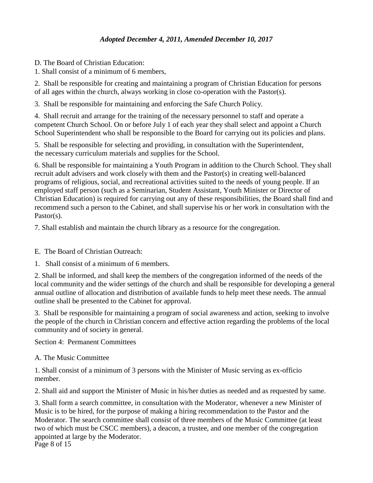D. The Board of Christian Education:

1. Shall consist of a minimum of 6 members,

2. Shall be responsible for creating and maintaining a program of Christian Education for persons of all ages within the church, always working in close co-operation with the Pastor(s).

3. Shall be responsible for maintaining and enforcing the Safe Church Policy.

4. Shall recruit and arrange for the training of the necessary personnel to staff and operate a competent Church School. On or before July 1 of each year they shall select and appoint a Church School Superintendent who shall be responsible to the Board for carrying out its policies and plans.

5. Shall be responsible for selecting and providing, in consultation with the Superintendent, the necessary curriculum materials and supplies for the School.

6. Shall be responsible for maintaining a Youth Program in addition to the Church School. They shall recruit adult advisers and work closely with them and the Pastor(s) in creating well-balanced programs of religious, social, and recreational activities suited to the needs of young people. If an employed staff person (such as a Seminarian, Student Assistant, Youth Minister or Director of Christian Education) is required for carrying out any of these responsibilities, the Board shall find and recommend such a person to the Cabinet, and shall supervise his or her work in consultation with the Pastor(s).

7. Shall establish and maintain the church library as a resource for the congregation.

E. The Board of Christian Outreach:

1. Shall consist of a minimum of 6 members.

2. Shall be informed, and shall keep the members of the congregation informed of the needs of the local community and the wider settings of the church and shall be responsible for developing a general annual outline of allocation and distribution of available funds to help meet these needs. The annual outline shall be presented to the Cabinet for approval.

3. Shall be responsible for maintaining a program of social awareness and action, seeking to involve the people of the church in Christian concern and effective action regarding the problems of the local community and of society in general.

Section 4: Permanent Committees

## A. The Music Committee

1. Shall consist of a minimum of 3 persons with the Minister of Music serving as ex-officio member.

2. Shall aid and support the Minister of Music in his/her duties as needed and as requested by same.

Page 8 of 15 3. Shall form a search committee, in consultation with the Moderator, whenever a new Minister of Music is to be hired, for the purpose of making a hiring recommendation to the Pastor and the Moderator. The search committee shall consist of three members of the Music Committee (at least two of which must be CSCC members), a deacon, a trustee, and one member of the congregation appointed at large by the Moderator.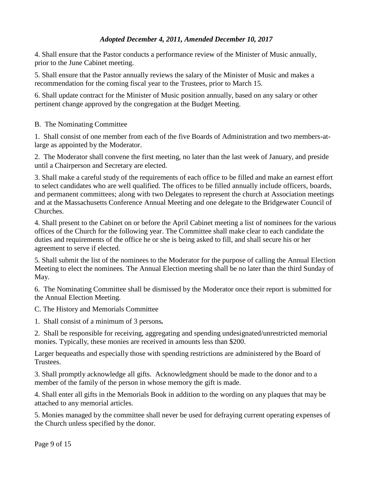4. Shall ensure that the Pastor conducts a performance review of the Minister of Music annually, prior to the June Cabinet meeting.

5. Shall ensure that the Pastor annually reviews the salary of the Minister of Music and makes a recommendation for the coming fiscal year to the Trustees, prior to March 15.

6. Shall update contract for the Minister of Music position annually, based on any salary or other pertinent change approved by the congregation at the Budget Meeting.

B. The Nominating Committee

1. Shall consist of one member from each of the five Boards of Administration and two members-atlarge as appointed by the Moderator.

2. The Moderator shall convene the first meeting, no later than the last week of January, and preside until a Chairperson and Secretary are elected.

3. Shall make a careful study of the requirements of each office to be filled and make an earnest effort to select candidates who are well qualified. The offices to be filled annually include officers, boards, and permanent committees; along with two Delegates to represent the church at Association meetings and at the Massachusetts Conference Annual Meeting and one delegate to the Bridgewater Council of Churches.

4. Shall present to the Cabinet on or before the April Cabinet meeting a list of nominees for the various offices of the Church for the following year. The Committee shall make clear to each candidate the duties and requirements of the office he or she is being asked to fill, and shall secure his or her agreement to serve if elected.

5. Shall submit the list of the nominees to the Moderator for the purpose of calling the Annual Election Meeting to elect the nominees. The Annual Election meeting shall be no later than the third Sunday of May.

6. The Nominating Committee shall be dismissed by the Moderator once their report is submitted for the Annual Election Meeting.

C. The History and Memorials Committee

1. Shall consist of a minimum of 3 persons*.*

2. Shall be responsible for receiving, aggregating and spending undesignated/unrestricted memorial monies. Typically, these monies are received in amounts less than \$200.

Larger bequeaths and especially those with spending restrictions are administered by the Board of Trustees.

3. Shall promptly acknowledge all gifts. Acknowledgment should be made to the donor and to a member of the family of the person in whose memory the gift is made.

4. Shall enter all gifts in the Memorials Book in addition to the wording on any plaques that may be attached to any memorial articles.

5. Monies managed by the committee shall never be used for defraying current operating expenses of the Church unless specified by the donor.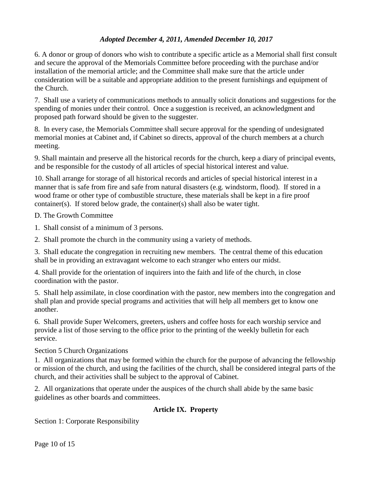6. A donor or group of donors who wish to contribute a specific article as a Memorial shall first consult and secure the approval of the Memorials Committee before proceeding with the purchase and/or installation of the memorial article; and the Committee shall make sure that the article under consideration will be a suitable and appropriate addition to the present furnishings and equipment of the Church.

7. Shall use a variety of communications methods to annually solicit donations and suggestions for the spending of monies under their control. Once a suggestion is received, an acknowledgment and proposed path forward should be given to the suggester.

8. In every case, the Memorials Committee shall secure approval for the spending of undesignated memorial monies at Cabinet and, if Cabinet so directs, approval of the church members at a church meeting.

9. Shall maintain and preserve all the historical records for the church, keep a diary of principal events, and be responsible for the custody of all articles of special historical interest and value.

10. Shall arrange for storage of all historical records and articles of special historical interest in a manner that is safe from fire and safe from natural disasters (e.g. windstorm, flood). If stored in a wood frame or other type of combustible structure, these materials shall be kept in a fire proof container(s). If stored below grade, the container(s) shall also be water tight.

D. The Growth Committee

- 1. Shall consist of a minimum of 3 persons.
- 2. Shall promote the church in the community using a variety of methods.

3. Shall educate the congregation in recruiting new members. The central theme of this education shall be in providing an extravagant welcome to each stranger who enters our midst.

4. Shall provide for the orientation of inquirers into the faith and life of the church, in close coordination with the pastor.

5. Shall help assimilate, in close coordination with the pastor, new members into the congregation and shall plan and provide special programs and activities that will help all members get to know one another.

6. Shall provide Super Welcomers, greeters, ushers and coffee hosts for each worship service and provide a list of those serving to the office prior to the printing of the weekly bulletin for each service.

Section 5 Church Organizations

1. All organizations that may be formed within the church for the purpose of advancing the fellowship or mission of the church, and using the facilities of the church, shall be considered integral parts of the church, and their activities shall be subject to the approval of Cabinet.

2. All organizations that operate under the auspices of the church shall abide by the same basic guidelines as other boards and committees.

## **Article IX. Property**

Section 1: Corporate Responsibility

Page 10 of 15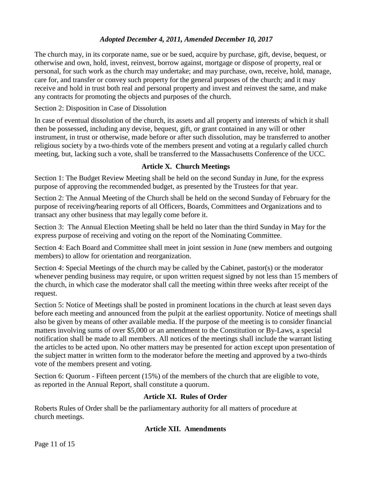The church may, in its corporate name, sue or be sued, acquire by purchase, gift, devise, bequest, or otherwise and own, hold, invest, reinvest, borrow against, mortgage or dispose of property, real or personal, for such work as the church may undertake; and may purchase, own, receive, hold, manage, care for, and transfer or convey such property for the general purposes of the church; and it may receive and hold in trust both real and personal property and invest and reinvest the same, and make any contracts for promoting the objects and purposes of the church.

## Section 2: Disposition in Case of Dissolution

In case of eventual dissolution of the church, its assets and all property and interests of which it shall then be possessed, including any devise, bequest, gift, or grant contained in any will or other instrument, in trust or otherwise, made before or after such dissolution, may be transferred to another religious society by a two-thirds vote of the members present and voting at a regularly called church meeting, but, lacking such a vote, shall be transferred to the Massachusetts Conference of the UCC.

# **Article X. Church Meetings**

Section 1: The Budget Review Meeting shall be held on the second Sunday in June, for the express purpose of approving the recommended budget, as presented by the Trustees for that year.

Section 2: The Annual Meeting of the Church shall be held on the second Sunday of February for the purpose of receiving*/*hearing reports of all Officers, Boards, Committees and Organizations and to transact any other business that may legally come before it.

Section 3: The Annual Election Meeting shall be held no later than the third Sunday in May for the express purpose of receiving and voting on the report of the Nominating Committee.

Section 4: Each Board and Committee shall meet in joint session in June (new members and outgoing members) to allow for orientation and reorganization.

Section 4: Special Meetings of the church may be called by the Cabinet, pastor(s) or the moderator whenever pending business may require, or upon written request signed by not less than 15 members of the church, in which case the moderator shall call the meeting within three weeks after receipt of the request.

Section 5: Notice of Meetings shall be posted in prominent locations in the church at least seven days before each meeting and announced from the pulpit at the earliest opportunity. Notice of meetings shall also be given by means of other available media. If the purpose of the meeting is to consider financial matters involving sums of over \$5,000 or an amendment to the Constitution or By-Laws, a special notification shall be made to all members. All notices of the meetings shall include the warrant listing the articles to be acted upon. No other matters may be presented for action except upon presentation of the subject matter in written form to the moderator before the meeting and approved by a two-thirds vote of the members present and voting.

Section 6: Quorum - Fifteen percent (15%) of the members of the church that are eligible to vote, as reported in the Annual Report, shall constitute a quorum.

# **Article XI. Rules of Order**

Roberts Rules of Order shall be the parliamentary authority for all matters of procedure at church meetings.

# **Article XII. Amendments**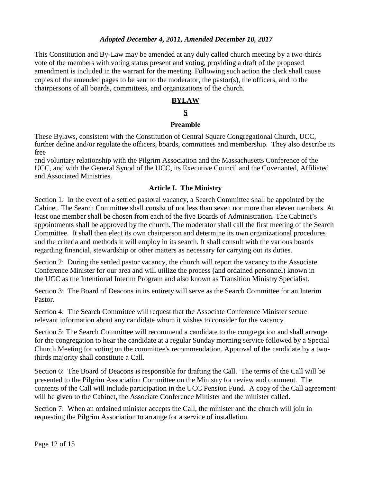This Constitution and By-Law may be amended at any duly called church meeting by a two-thirds vote of the members with voting status present and voting, providing a draft of the proposed amendment is included in the warrant for the meeting. Following such action the clerk shall cause copies of the amended pages to be sent to the moderator, the pastor(s), the officers, and to the chairpersons of all boards, committees, and organizations of the church.

# **BYLAW**

# **S**

#### **Preamble**

These Bylaws, consistent with the Constitution of Central Square Congregational Church, UCC, further define and/or regulate the officers, boards, committees and membership. They also describe its free

and voluntary relationship with the Pilgrim Association and the Massachusetts Conference of the UCC, and with the General Synod of the UCC, its Executive Council and the Covenanted, Affiliated and Associated Ministries.

#### **Article I. The Ministry**

Section 1: In the event of a settled pastoral vacancy, a Search Committee shall be appointed by the Cabinet. The Search Committee shall consist of not less than seven nor more than eleven members. At least one member shall be chosen from each of the five Boards of Administration. The Cabinet's appointments shall be approved by the church. The moderator shall call the first meeting of the Search Committee. It shall then elect its own chairperson and determine its own organizational procedures and the criteria and methods it will employ in its search. It shall consult with the various boards regarding financial, stewardship or other matters as necessary for carrying out its duties.

Section 2: During the settled pastor vacancy, the church will report the vacancy to the Associate Conference Minister for our area and will utilize the process (and ordained personnel) known in the UCC as the Intentional Interim Program and also known as Transition Ministry Specialist.

Section 3: The Board of Deacons in its entirety will serve as the Search Committee for an Interim Pastor.

Section 4: The Search Committee will request that the Associate Conference Minister secure relevant information about any candidate whom it wishes to consider for the vacancy.

Section 5: The Search Committee will recommend a candidate to the congregation and shall arrange for the congregation to hear the candidate at a regular Sunday morning service followed by a Special Church Meeting for voting on the committee's recommendation. Approval of the candidate by a twothirds majority shall constitute a Call.

Section 6: The Board of Deacons is responsible for drafting the Call. The terms of the Call will be presented to the Pilgrim Association Committee on the Ministry for review and comment. The contents of the Call will include participation in the UCC Pension Fund. A copy of the Call agreement will be given to the Cabinet, the Associate Conference Minister and the minister called.

Section 7: When an ordained minister accepts the Call, the minister and the church will join in requesting the Pilgrim Association to arrange for a service of installation.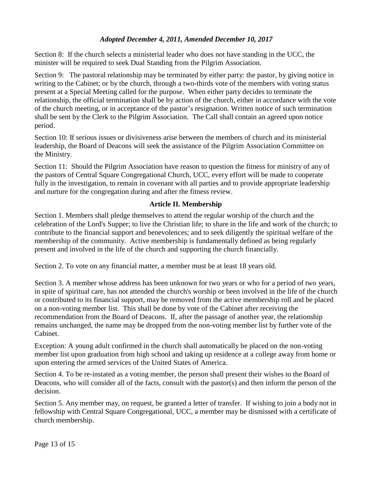Section 8: If the church selects a ministerial leader who does not have standing in the UCC, the minister will be required to seek Dual Standing from the Pilgrim Association.

Section 9: The pastoral relationship may be terminated by either party: the pastor, by giving notice in writing to the Cabinet; or by the church, through a two-thirds vote of the members with voting status present at a Special Meeting called for the purpose. When either party decides to terminate the relationship, the official termination shall be by action of the church, either in accordance with the vote of the church meeting, or in acceptance of the pastor's resignation. Written notice of such termination shall be sent by the Clerk to the Pilgrim Association. The Call shall contain an agreed upon notice period.

Section 10: If serious issues or divisiveness arise between the members of church and its ministerial leadership, the Board of Deacons will seek the assistance of the Pilgrim Association Committee on the Ministry.

Section 11: Should the Pilgrim Association have reason to question the fitness for ministry of any of the pastors of Central Square Congregational Church, UCC, every effort will be made to cooperate fully in the investigation, to remain in covenant with all parties and to provide appropriate leadership and nurture for the congregation during and after the fitness review.

## **Article II. Membership**

Section 1. Members shall pledge themselves to attend the regular worship of the church and the celebration of the Lord's Supper; to live the Christian life; to share in the life and work of the church; to contribute to the financial support and benevolences; and to seek diligently the spiritual welfare of the membership of the community. Active membership is fundamentally defined as being regularly present and involved in the life of the church and supporting the church financially.

Section 2. To vote on any financial matter, a member must be at least 18 years old.

Section 3. A member whose address has been unknown for two years or who for a period of two years, in spite of spiritual care, has not attended the church's worship or been involved in the life of the church or contributed to its financial support, may be removed from the active membership roll and be placed on a non-voting member list. This shall be done by vote of the Cabinet after receiving the recommendation from the Board of Deacons. If, after the passage of another year, the relationship remains unchanged, the name may be dropped from the non-voting member list by further vote of the Cabinet.

Exception: A young adult confirmed in the church shall automatically be placed on the non-voting member list upon graduation from high school and taking up residence at a college away from home or upon entering the armed services of the United States of America.

Section 4. To be re-instated as a voting member, the person shall present their wishes to the Board of Deacons, who will consider all of the facts, consult with the pastor(s) and then inform the person of the decision.

Section 5. Any member may, on request, be granted a letter of transfer. If wishing to join a body not in fellowship with Central Square Congregational, UCC, a member may be dismissed with a certificate of church membership.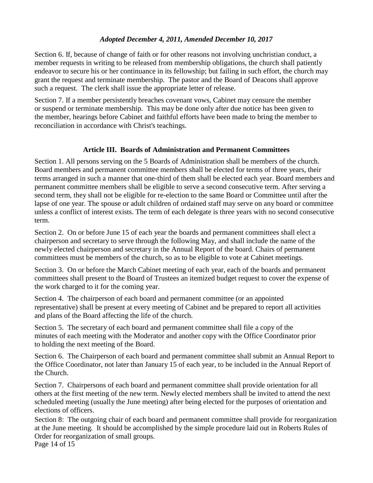Section 6. If, because of change of faith or for other reasons not involving unchristian conduct, a member requests in writing to be released from membership obligations, the church shall patiently endeavor to secure his or her continuance in its fellowship; but failing in such effort, the church may grant the request and terminate membership. The pastor and the Board of Deacons shall approve such a request. The clerk shall issue the appropriate letter of release.

Section 7. If a member persistently breaches covenant vows, Cabinet may censure the member or suspend or terminate membership. This may be done only after due notice has been given to the member, hearings before Cabinet and faithful efforts have been made to bring the member to reconciliation in accordance with Christ's teachings.

## **Article III. Boards of Administration and Permanent Committees**

Section 1. All persons serving on the 5 Boards of Administration shall be members of the church. Board members and permanent committee members shall be elected for terms of three years, their terms arranged in such a manner that one-third of them shall be elected each year. Board members and permanent committee members shall be eligible to serve a second consecutive term. After serving a second term, they shall not be eligible for re-election to the same Board or Committee until after the lapse of one year. The spouse or adult children of ordained staff may serve on any board or committee unless a conflict of interest exists. The term of each delegate is three years with no second consecutive term.

Section 2. On or before June 15 of each year the boards and permanent committees shall elect a chairperson and secretary to serve through the following May, and shall include the name of the newly elected chairperson and secretary in the Annual Report of the board. Chairs of permanent committees must be members of the church, so as to be eligible to vote at Cabinet meetings.

Section 3. On or before the March Cabinet meeting of each year, each of the boards and permanent committees shall present to the Board of Trustees an itemized budget request to cover the expense of the work charged to it for the coming year.

Section 4. The chairperson of each board and permanent committee (or an appointed representative) shall be present at every meeting of Cabinet and be prepared to report all activities and plans of the Board affecting the life of the church.

Section 5. The secretary of each board and permanent committee shall file a copy of the minutes of each meeting with the Moderator and another copy with the Office Coordinator prior to holding the next meeting of the Board.

Section 6. The Chairperson of each board and permanent committee shall submit an Annual Report to the Office Coordinator, not later than January 15 of each year, to be included in the Annual Report of the Church.

Section 7. Chairpersons of each board and permanent committee shall provide orientation for all others at the first meeting of the new term. Newly elected members shall be invited to attend the next scheduled meeting (usually the June meeting) after being elected for the purposes of orientation and elections of officers.

Section 8: The outgoing chair of each board and permanent committee shall provide for reorganization at the June meeting. It should be accomplished by the simple procedure laid out in Roberts Rules of Order for reorganization of small groups.

Page 14 of 15